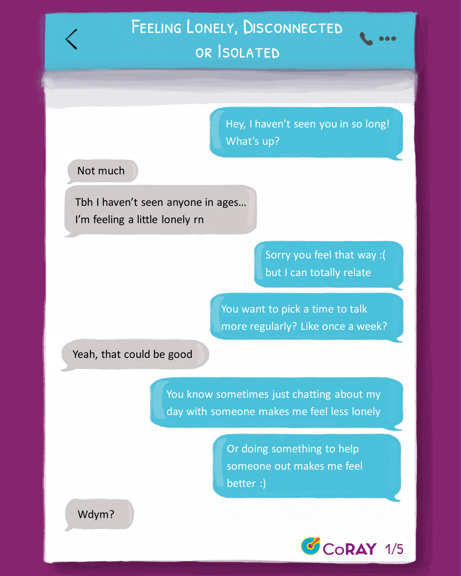You want to pick a time to talk more regularly? Like once a week?

Tbh I haven't seen anyone in ages… I'm feeling a little lonely rn

# Feeling Lonely, Disconnected or Isolated

You know sometimes just chatting about my day with someone makes me feel less lonely



### Not much

Hey, I haven't seen you in so long! What's up?

Wdym?

Yeah, that could be good

Or doing something to help someone out makes me feel better :)

Sorry you feel that way :( but I can totally relate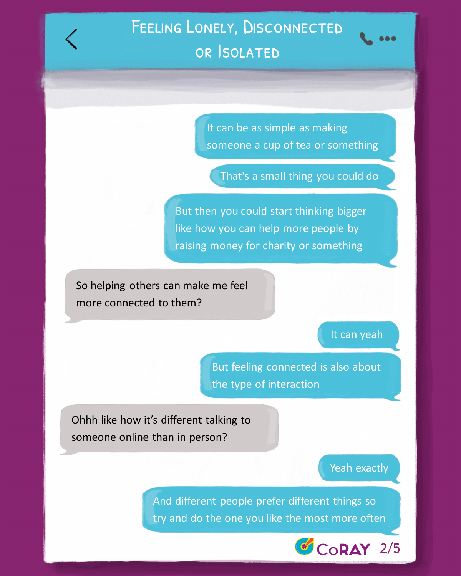So helping others can make me feel more connected to them?

# It can yeah

Ohhh like how it's different talking to someone online than in person?

### Yeah exactly



But then you could start thinking bigger like how you can help more people by raising money for charity or something

It can be as simple as making someone a cup of tea or something

# Feeling Lonely, Disconnected or Isolated

But feeling connected is also about

#### the type of interaction

That's a small thing you could do

And different people prefer different things so try and do the one you like the most more often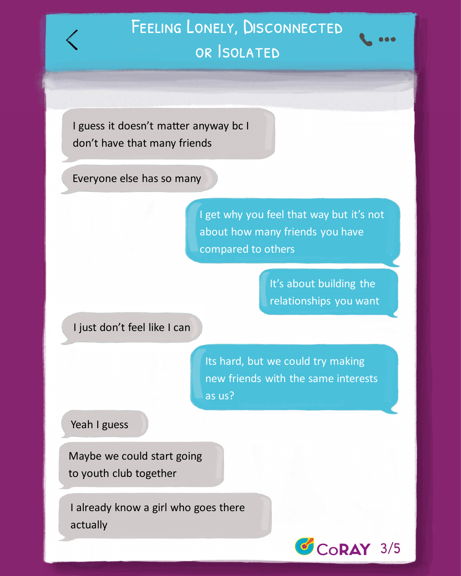I guess it doesn't matter anyway bc I don't have that many friends

> I get why you feel that way but it's not about how many friends you have compared to others



Maybe we could start going to youth club together

Its hard, but we could try making new friends with the same interests

as us?

#### Yeah I guess

# Feeling Lonely, Disconnected or Isolated

Everyone else has so many

It's about building the relationships you want

#### I just don't feel like I can

I already know a girl who goes there actually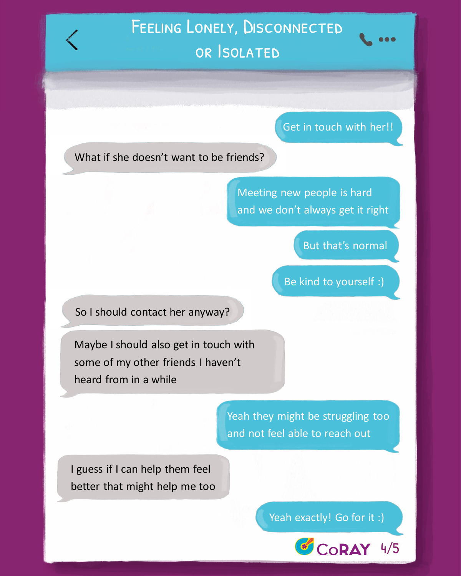

### What if she doesn't want to be friends?

Meeting new people is hard and we don't always get it right

Maybe I should also get in touch with some of my other friends I haven't heard from in a while

> Yeah they might be struggling too and not feel able to reach out

# But that's normal

So I should contact her anyway?

# I guess if I can help them feel better that might help me too

### Yeah exactly! Go for it :)

# Feeling Lonely, Disconnected or Isolated

## Get in touch with her!!

## Be kind to yourself :)